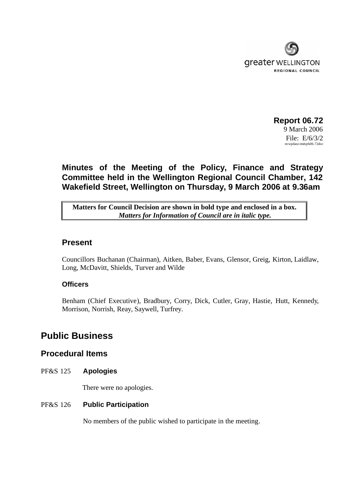

**Report 06.72** 9 March 2006 File: E/6/3/2 m:wpdata\min\pfs06.72doc

# **Minutes of the Meeting of the Policy, Finance and Strategy Committee held in the Wellington Regional Council Chamber, 142 Wakefield Street, Wellington on Thursday, 9 March 2006 at 9.36am**

**Matters for Council Decision are shown in bold type and enclosed in a box.** *Matters for Information of Council are in italic type.*

# **Present**

Councillors Buchanan (Chairman), Aitken, Baber, Evans, Glensor, Greig, Kirton, Laidlaw, Long, McDavitt, Shields, Turver and Wilde

# **Officers**

Benham (Chief Executive), Bradbury, Corry, Dick, Cutler, Gray, Hastie, Hutt, Kennedy, Morrison, Norrish, Reay, Saywell, Turfrey.

# **Public Business**

# **Procedural Items**

PF&S 125 **Apologies**

There were no apologies.

#### PF&S 126 **Public Participation**

No members of the public wished to participate in the meeting.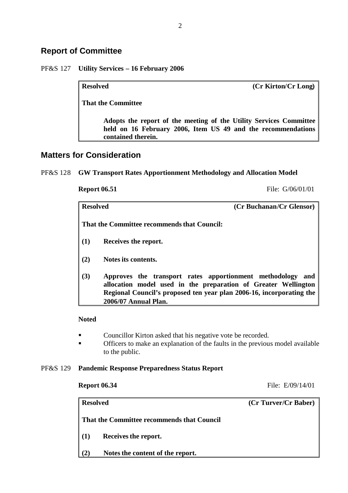# **Report of Committee**

PF&S 127 **Utility Services – 16 February 2006**

**Resolved (Cr Kirton/Cr Long)**

**That the Committee**

**Adopts the report of the meeting of the Utility Services Committee held on 16 February 2006, Item US 49 and the recommendations contained therein.**

# **Matters for Consideration**

### PF&S 128 **GW Transport Rates Apportionment Methodology and Allocation Model**

**Report 06.51** File: G/06/01/01

**Resolved (Cr Buchanan/Cr Glensor)** That the Committee recommends that Council: **(1) Receives the report. (2) Notesits contents. (3) Approves the transport rates apportionment methodology and allocation model used in the preparation of Greater Wellington Regional Council's proposed ten year plan 2006-16, incorporating the**

**Noted**

- Councillor Kirton asked that his negative vote be recorded.
- Officers to make an explanation of the faults in the previous model available to the public.

#### PF&S 129 **Pandemic Response Preparedness Status Report**

**2006/07 Annual Plan.**

**Report 06.34** File: E/09/14/01

| <b>Resolved</b> |                                            | (Cr Turver/Cr Baber) |  |  |
|-----------------|--------------------------------------------|----------------------|--|--|
|                 | That the Committee recommends that Council |                      |  |  |
| (1)             | Receives the report.                       |                      |  |  |
| (2)             | Notes the content of the report.           |                      |  |  |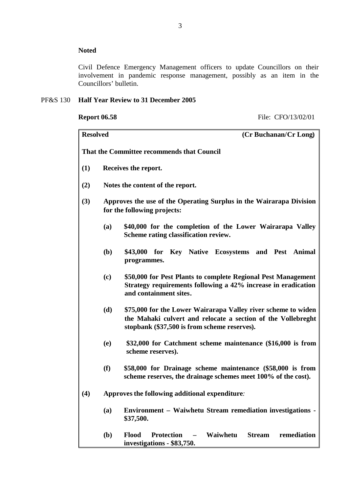#### **Noted**

Civil Defence Emergency Management officers to update Councillors on their involvement in pandemic response management, possibly as an item in the Councillors' bulletin.

# PF&S 130 **Half Year Review to 31 December 2005**

**Report 06.58** File: CFO/13/02/01

| <b>Resolved</b><br>(Cr Buchanan/Cr Long) |                                                                                                    |                                                                                                                                                                               |  |  |  |  |  |
|------------------------------------------|----------------------------------------------------------------------------------------------------|-------------------------------------------------------------------------------------------------------------------------------------------------------------------------------|--|--|--|--|--|
|                                          |                                                                                                    | <b>That the Committee recommends that Council</b>                                                                                                                             |  |  |  |  |  |
| (1)                                      |                                                                                                    | Receives the report.                                                                                                                                                          |  |  |  |  |  |
| (2)                                      |                                                                                                    | Notes the content of the report.                                                                                                                                              |  |  |  |  |  |
| (3)                                      | Approves the use of the Operating Surplus in the Wairarapa Division<br>for the following projects: |                                                                                                                                                                               |  |  |  |  |  |
|                                          | (a)                                                                                                | \$40,000 for the completion of the Lower Wairarapa Valley<br>Scheme rating classification review.                                                                             |  |  |  |  |  |
|                                          | ( <b>b</b> )                                                                                       | Key Native Ecosystems and Pest<br>\$43,000 for<br>Animal<br>programmes.                                                                                                       |  |  |  |  |  |
|                                          | (c)                                                                                                | \$50,000 for Pest Plants to complete Regional Pest Management<br>Strategy requirements following a 42% increase in eradication<br>and containment sites.                      |  |  |  |  |  |
|                                          | (d)                                                                                                | \$75,000 for the Lower Wairarapa Valley river scheme to widen<br>the Mahaki culvert and relocate a section of the Vollebreght<br>stopbank (\$37,500 is from scheme reserves). |  |  |  |  |  |
|                                          | (e)                                                                                                | \$32,000 for Catchment scheme maintenance (\$16,000 is from<br>scheme reserves).                                                                                              |  |  |  |  |  |
|                                          | (f)                                                                                                | \$58,000 for Drainage scheme maintenance (\$58,000 is from<br>scheme reserves, the drainage schemes meet 100% of the cost).                                                   |  |  |  |  |  |
| (4)                                      |                                                                                                    | Approves the following additional expenditure:                                                                                                                                |  |  |  |  |  |
|                                          | (a)                                                                                                | <b>Environment – Waiwhetu Stream remediation investigations -</b><br>\$37,500.                                                                                                |  |  |  |  |  |
|                                          | (b)                                                                                                | Waiwhetu<br><b>Protection</b><br><b>Stream</b><br>remediation<br>Flood<br>$\overline{\phantom{m}}$<br>investigations - \$83,750.                                              |  |  |  |  |  |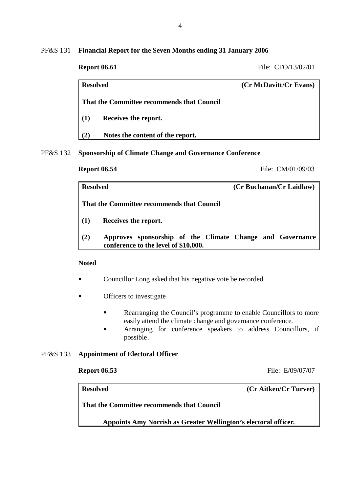PF&S 131 **Financial Report for the Seven Months ending 31 January 2006**

**Report 06.61** File: CFO/13/02/01

| <b>Resolved</b>                            |                                  | (Cr McDavitt/Cr Evans) |  |  |
|--------------------------------------------|----------------------------------|------------------------|--|--|
| That the Committee recommends that Council |                                  |                        |  |  |
| (1)                                        | Receives the report.             |                        |  |  |
| (2)                                        | Notes the content of the report. |                        |  |  |

### PF&S 132 **Sponsorship of Climate Change and Governance Conference**

**Report 06.54** File: CM/01/09/03

| <b>Resolved</b> |                                                                                                   | (Cr Buchanan/Cr Laidlaw) |  |  |  |
|-----------------|---------------------------------------------------------------------------------------------------|--------------------------|--|--|--|
|                 | That the Committee recommends that Council                                                        |                          |  |  |  |
| (1)             | Receives the report.                                                                              |                          |  |  |  |
| (2)             | Approves sponsorship of the Climate Change and Governance<br>conference to the level of \$10,000. |                          |  |  |  |

### **Noted**

- Councillor Long asked that his negative vote be recorded.
- Officers to investigate
	- Rearranging the Council's programme to enable Councillors to more easily attend the climate change and governance conference.
	- Arranging for conference speakers to address Councillors, if possible.

#### PF&S 133 **Appointment of Electoral Officer**

**Report 06.53** File: E/09/07/07

**Resolved (Cr Aitken/Cr Turver)**

**That the Committee recommends that Council**

**Appoints Amy Norrish as Greater Wellington's electoral officer.**